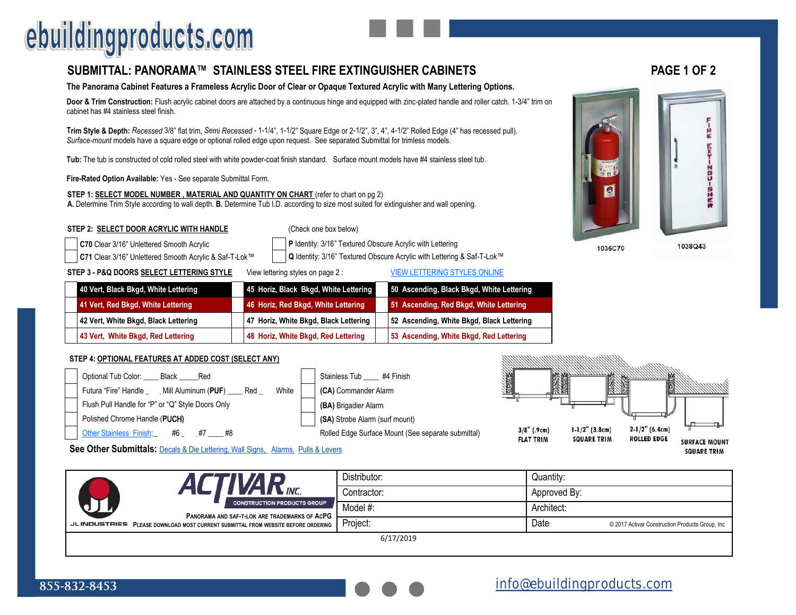## ebuildingproducts.com

### **SUBMITTAL: PANORAMA™ STAINLESS STEEL FIRE EXTINGUISHER CABINETS PAGE 1 OF 2**

#### **The Panorama Cabinet Features a Frameless Acrylic Door of Clear or Opaque Textured Acrylic with Many Lettering Options.**

**Door & Trim Construction:** Flush acrylic cabinet doors are attached by a continuous hinge and equipped with zinc-plated handle and roller catch. 1-3/4" trim on cabinet has #4 stainless steel finish.

**Trim Style & Depth:** *Recessed* 3/8" flat trim, *Semi Recessed* - 1-1/4", 1-1/2" Square Edge or 2-1/2", 3", 4", 4-1/2" Rolled Edge (4" has recessed pull). *Surface-mount* models have a square edge or optional rolled edge upon request. See separated Submittal for trimless models.

**Tub:** The tub is constructed of cold rolled steel with white powder-coat finish standard. Surface mount models have #4 stainless steel tub.

**Fire-Rated Option Available:** Yes - See separate Submittal Form.

**STEP 1: SELECT MODEL NUMBER, MATERIAL AND QUANTITY ON CHART** (refer to chart on pg 2) **A.** Determine Trim Style according to wall depth. **B.** Determine Tub I.D. according to size most suited for extinguisher and wall opening.

#### **STEP 2: SELECT DOOR ACRYLIC WITH HANDLE** (Check one box below)

**C70** Clear 3/16" Unlettered Smooth Acrylic **P P P** Identity: 3/16" Textured Obscure Acrylic with Lettering

**C71** Clear 3/16" Unlettered Smooth Acrylic & Saf-T-Lok™ **Q** Identity: 3/16" Textured Obscure Acrylic with Lettering & Saf-T-Lok™

**STEP 3 - P&Q DOORS SELECT LETTERING STYLE** View lettering styles on page 2 : VIEW LETTERING STYLES ONLINE

| 40 Vert, Black Bkgd, White Lettering | 45 Horiz, Black Bkgd, White Lettering | 50 Ascending, Black Bkgd, White Lettering |
|--------------------------------------|---------------------------------------|-------------------------------------------|
| 41 Vert, Red Bkgd, White Lettering   | 46 Horiz, Red Bkgd, White Lettering   | 51 Ascending, Red Bkgd, White Lettering   |
| 42 Vert, White Bkgd, Black Lettering | 47 Horiz, White Bkgd, Black Lettering | 52 Ascending, White Bkgd, Black Lettering |
| 43 Vert, White Bkgd, Red Lettering   | 48 Horiz, White Bkgd, Red Lettering   | 53 Ascending, White Bkgd, Red Lettering   |

#### **STEP 4: OPTIONAL FEATURES AT ADDED COST (SELECT ANY)**



**See Other Submittals:** Decals & Die Lettering, Wall Signs, Alarms, Pulls & Levers

|                     |                                                                                     | Distributor: | Quantity:    |                                                 |  |  |  |  |
|---------------------|-------------------------------------------------------------------------------------|--------------|--------------|-------------------------------------------------|--|--|--|--|
|                     | N                                                                                   | Contractor:  | Approved By: |                                                 |  |  |  |  |
|                     | <b>CONSTRUCTION PRODUCTS GROUP</b><br>PANORAMA AND SAF-T-LOK ARE TRADEMARKS OF ACPG | Model #:     | Architect:   |                                                 |  |  |  |  |
| <b>JLINDUSTRIES</b> | PLEASE DOWNLOAD MOST CURRENT SUBMITTAL FROM WEBSITE BEFORE ORDERING                 | Project:     | Date:        | © 2017 Activar Construction Products Group, Inc |  |  |  |  |
| 6/17/2019           |                                                                                     |              |              |                                                 |  |  |  |  |



1036C70

1038Q43

**SQUARE TRIM**